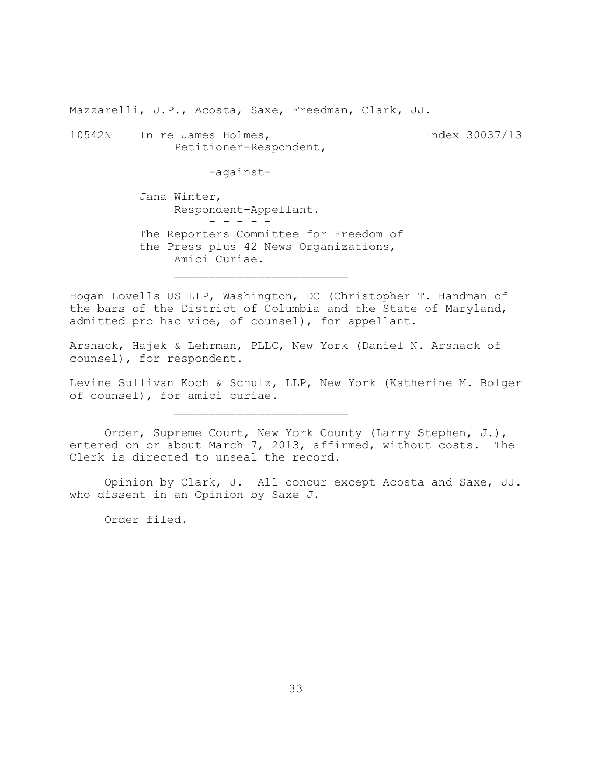Mazzarelli, J.P., Acosta, Saxe, Freedman, Clark, JJ.

10542N In re James Holmes, Index 30037/13 Petitioner-Respondent,

-against-

Jana Winter, Respondent-Appellant. - - - - - The Reporters Committee for Freedom of

the Press plus 42 News Organizations, Amici Curiae.

 $\mathcal{L}_\text{max}$ 

Hogan Lovells US LLP, Washington, DC (Christopher T. Handman of the bars of the District of Columbia and the State of Maryland, admitted pro hac vice, of counsel), for appellant.

Arshack, Hajek & Lehrman, PLLC, New York (Daniel N. Arshack of counsel), for respondent.

Levine Sullivan Koch & Schulz, LLP, New York (Katherine M. Bolger of counsel), for amici curiae.

Order, Supreme Court, New York County (Larry Stephen, J.), entered on or about March 7, 2013, affirmed, without costs. The Clerk is directed to unseal the record.

Opinion by Clark, J. All concur except Acosta and Saxe, JJ. who dissent in an Opinion by Saxe J.

Order filed.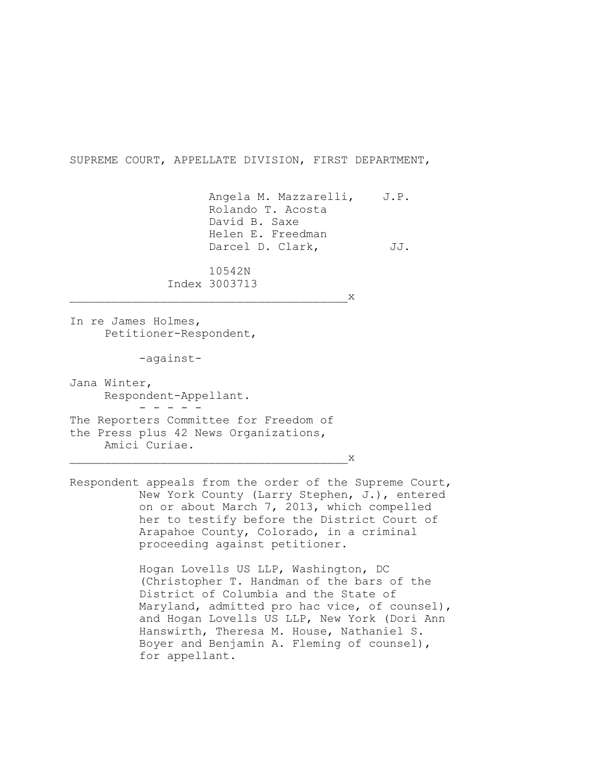SUPREME COURT, APPELLATE DIVISION, FIRST DEPARTMENT,

Angela M. Mazzarelli, J.P. Rolando T. Acosta David B. Saxe Helen E. Freedman Darcel D. Clark, JJ.

10542N Index 3003713

\_\_\_\_\_\_\_\_\_\_\_\_\_\_\_\_\_\_\_\_\_\_\_\_\_\_\_\_\_\_\_\_\_\_\_\_\_\_\_\_x

In re James Holmes, Petitioner-Respondent,

-against-

Jana Winter, Respondent-Appellant. - - - - - The Reporters Committee for Freedom of the Press plus 42 News Organizations, Amici Curiae.

 $\overline{\phantom{a}}$  x

Respondent appeals from the order of the Supreme Court, New York County (Larry Stephen, J.), entered on or about March 7, 2013, which compelled her to testify before the District Court of Arapahoe County, Colorado, in a criminal proceeding against petitioner.

> Hogan Lovells US LLP, Washington, DC (Christopher T. Handman of the bars of the District of Columbia and the State of Maryland, admitted pro hac vice, of counsel), and Hogan Lovells US LLP, New York (Dori Ann Hanswirth, Theresa M. House, Nathaniel S. Boyer and Benjamin A. Fleming of counsel), for appellant.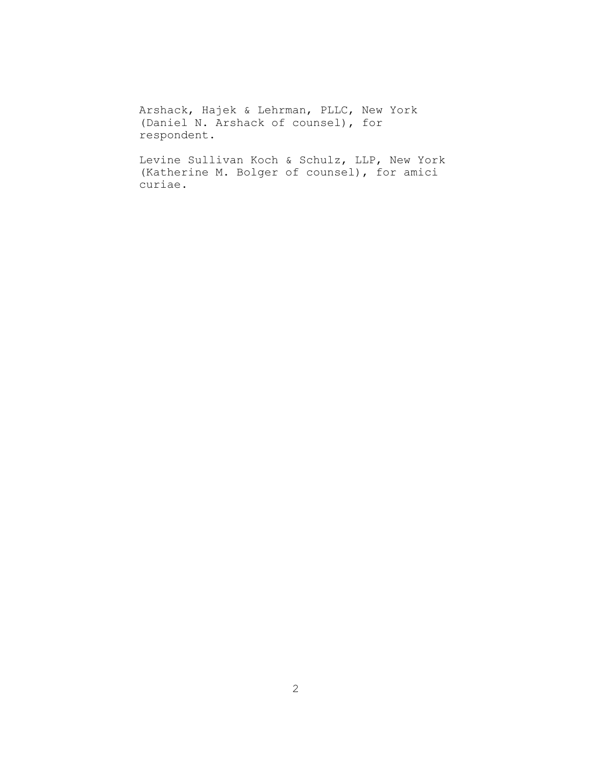Arshack, Hajek & Lehrman, PLLC, New York (Daniel N. Arshack of counsel), for respondent.

Levine Sullivan Koch & Schulz, LLP, New York (Katherine M. Bolger of counsel), for amici curiae.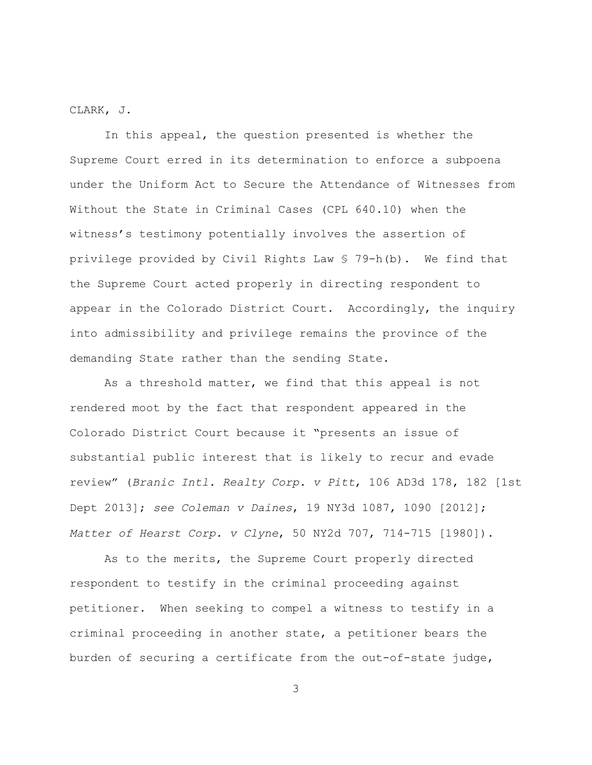CLARK, J.

In this appeal, the question presented is whether the Supreme Court erred in its determination to enforce a subpoena under the Uniform Act to Secure the Attendance of Witnesses from Without the State in Criminal Cases (CPL 640.10) when the witness's testimony potentially involves the assertion of privilege provided by Civil Rights Law § 79-h(b). We find that the Supreme Court acted properly in directing respondent to appear in the Colorado District Court. Accordingly, the inquiry into admissibility and privilege remains the province of the demanding State rather than the sending State.

As a threshold matter, we find that this appeal is not rendered moot by the fact that respondent appeared in the Colorado District Court because it "presents an issue of substantial public interest that is likely to recur and evade review" (*Branic Intl. Realty Corp. v Pitt*, 106 AD3d 178, 182 [1st Dept 2013]; *see Coleman v Daines*, 19 NY3d 1087, 1090 [2012]; *Matter of Hearst Corp. v Clyne*, 50 NY2d 707, 714-715 [1980]).

As to the merits, the Supreme Court properly directed respondent to testify in the criminal proceeding against petitioner. When seeking to compel a witness to testify in a criminal proceeding in another state, a petitioner bears the burden of securing a certificate from the out-of-state judge,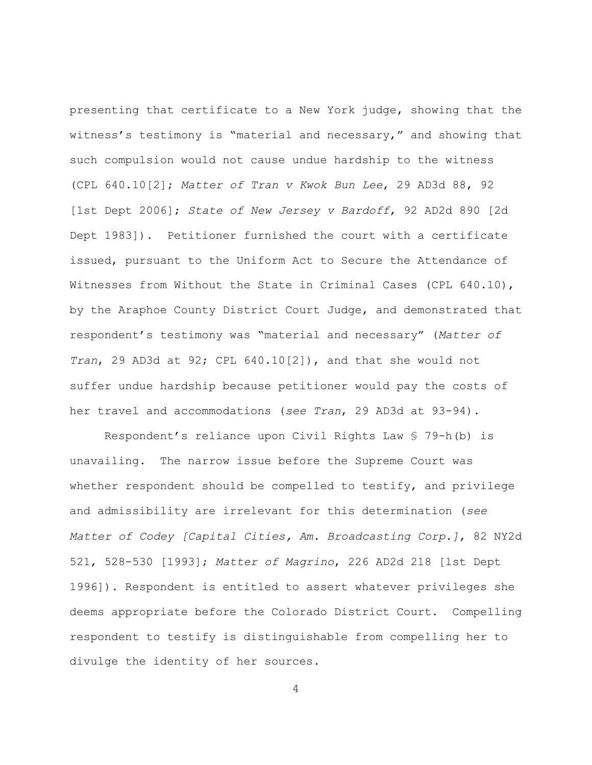presenting that certificate to a New York judge, showing that the witness's testimony is "material and necessary," and showing that such compulsion would not cause undue hardship to the witness (CPL 640.10[2]; *Matter of Tran v Kwok Bun Lee*, 29 AD3d 88, 92 [1st Dept 2006]; *State of New Jersey v Bardoff*, 92 AD2d 890 [2d Dept 1983]). Petitioner furnished the court with a certificate issued, pursuant to the Uniform Act to Secure the Attendance of Witnesses from Without the State in Criminal Cases (CPL 640.10), by the Araphoe County District Court Judge, and demonstrated that respondent's testimony was "material and necessary" (*Matter of Tran*, 29 AD3d at 92; CPL 640.10[2]), and that she would not suffer undue hardship because petitioner would pay the costs of her travel and accommodations (*see Tran*, 29 AD3d at 93-94).

Respondent's reliance upon Civil Rights Law § 79-h(b) is unavailing. The narrow issue before the Supreme Court was whether respondent should be compelled to testify, and privilege and admissibility are irrelevant for this determination (*see Matter of Codey [Capital Cities, Am. Broadcasting Corp.]*, 82 NY2d 521, 528-530 [1993]; *Matter of Magrino*, 226 AD2d 218 [1st Dept 1996]). Respondent is entitled to assert whatever privileges she deems appropriate before the Colorado District Court. Compelling respondent to testify is distinguishable from compelling her to divulge the identity of her sources.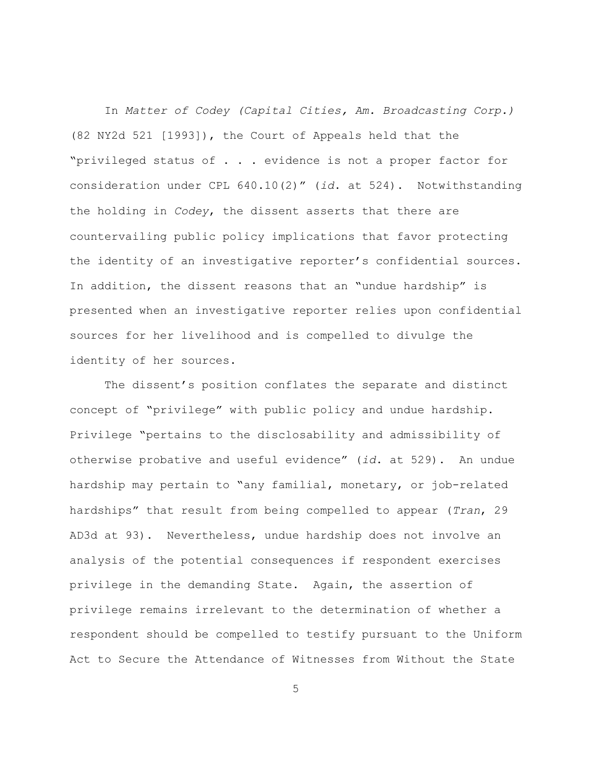In *Matter of Codey (Capital Cities, Am. Broadcasting Corp.)* (82 NY2d 521 [1993]), the Court of Appeals held that the "privileged status of . . . evidence is not a proper factor for consideration under CPL 640.10(2)" (*id*. at 524). Notwithstanding the holding in *Codey*, the dissent asserts that there are countervailing public policy implications that favor protecting the identity of an investigative reporter's confidential sources. In addition, the dissent reasons that an "undue hardship" is presented when an investigative reporter relies upon confidential sources for her livelihood and is compelled to divulge the identity of her sources.

The dissent's position conflates the separate and distinct concept of "privilege" with public policy and undue hardship. Privilege "pertains to the disclosability and admissibility of otherwise probative and useful evidence" (*id*. at 529). An undue hardship may pertain to "any familial, monetary, or job-related hardships" that result from being compelled to appear (*Tran*, 29 AD3d at 93). Nevertheless, undue hardship does not involve an analysis of the potential consequences if respondent exercises privilege in the demanding State. Again, the assertion of privilege remains irrelevant to the determination of whether a respondent should be compelled to testify pursuant to the Uniform Act to Secure the Attendance of Witnesses from Without the State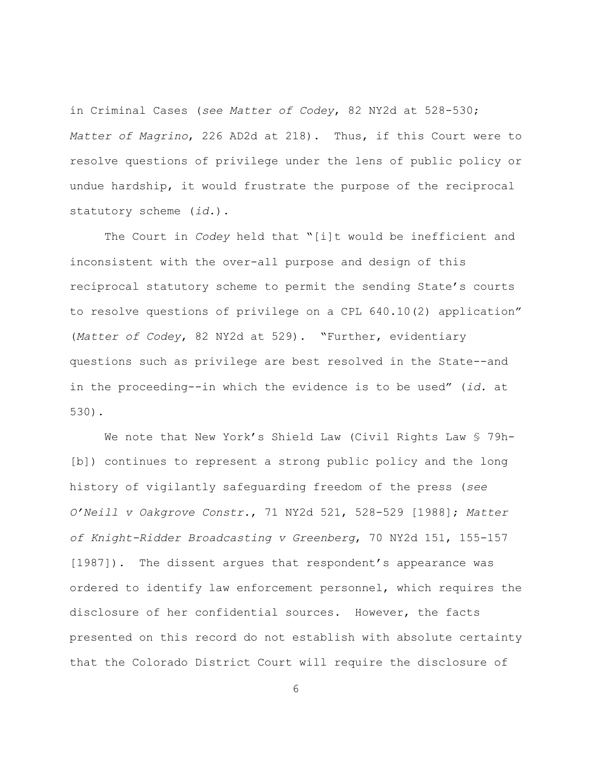in Criminal Cases (*see Matter of Codey*, 82 NY2d at 528-530; *Matter of Magrino*, 226 AD2d at 218). Thus, if this Court were to resolve questions of privilege under the lens of public policy or undue hardship, it would frustrate the purpose of the reciprocal statutory scheme (*id*.).

The Court in *Codey* held that "[i]t would be inefficient and inconsistent with the over-all purpose and design of this reciprocal statutory scheme to permit the sending State's courts to resolve questions of privilege on a CPL 640.10(2) application" (*Matter of Codey*, 82 NY2d at 529). "Further, evidentiary questions such as privilege are best resolved in the State--and in the proceeding--in which the evidence is to be used" (*id*. at 530).

We note that New York's Shield Law (Civil Rights Law § 79h-[b]) continues to represent a strong public policy and the long history of vigilantly safeguarding freedom of the press (*see O'Neill v Oakgrove Constr.*, 71 NY2d 521, 528-529 [1988]; *Matter of Knight-Ridder Broadcasting v Greenberg*, 70 NY2d 151, 155-157 [1987]). The dissent argues that respondent's appearance was ordered to identify law enforcement personnel, which requires the disclosure of her confidential sources. However, the facts presented on this record do not establish with absolute certainty that the Colorado District Court will require the disclosure of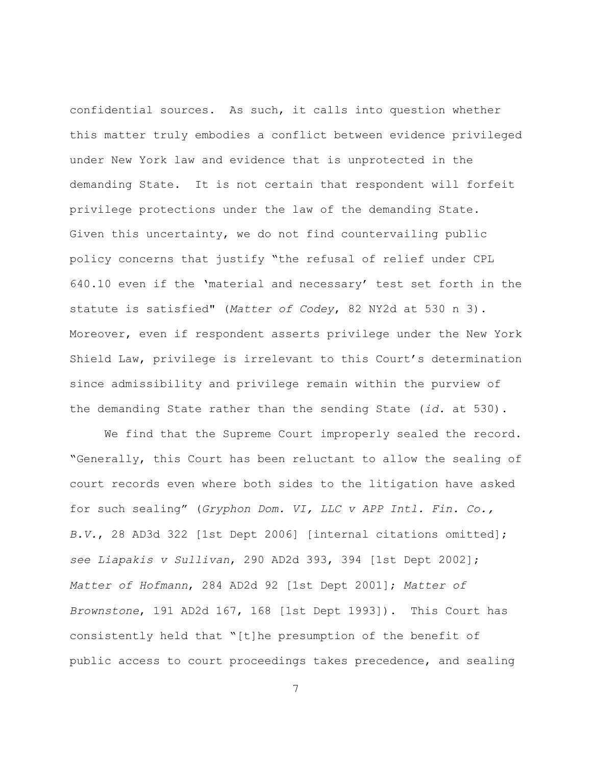confidential sources. As such, it calls into question whether this matter truly embodies a conflict between evidence privileged under New York law and evidence that is unprotected in the demanding State. It is not certain that respondent will forfeit privilege protections under the law of the demanding State. Given this uncertainty, we do not find countervailing public policy concerns that justify "the refusal of relief under CPL 640.10 even if the 'material and necessary' test set forth in the statute is satisfied" (*Matter of Codey*, 82 NY2d at 530 n 3). Moreover, even if respondent asserts privilege under the New York Shield Law, privilege is irrelevant to this Court's determination since admissibility and privilege remain within the purview of the demanding State rather than the sending State (*id.* at 530).

We find that the Supreme Court improperly sealed the record. "Generally, this Court has been reluctant to allow the sealing of court records even where both sides to the litigation have asked for such sealing" (*Gryphon Dom. VI, LLC v APP Intl. Fin. Co., B.V.*, 28 AD3d 322 [1st Dept 2006] [internal citations omitted]; *see Liapakis v Sullivan*, 290 AD2d 393, 394 [1st Dept 2002]; *Matter of Hofmann*, 284 AD2d 92 [1st Dept 2001]; *Matter of Brownstone*, 191 AD2d 167, 168 [1st Dept 1993]). This Court has consistently held that "[t]he presumption of the benefit of public access to court proceedings takes precedence, and sealing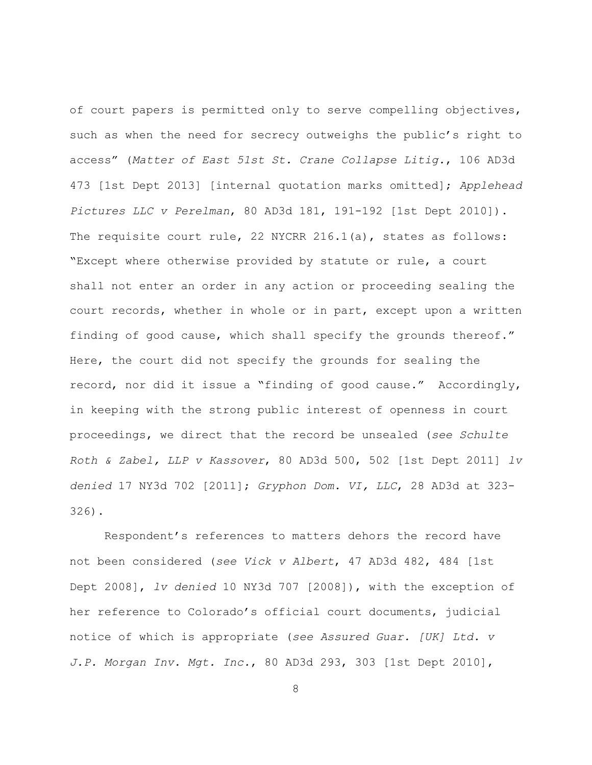of court papers is permitted only to serve compelling objectives, such as when the need for secrecy outweighs the public's right to access" (*Matter of East 51st St. Crane Collapse Litig.*, 106 AD3d 473 [1st Dept 2013] [internal quotation marks omitted]; *Applehead Pictures LLC v Perelman*, 80 AD3d 181, 191-192 [1st Dept 2010]). The requisite court rule, 22 NYCRR 216.1(a), states as follows: "Except where otherwise provided by statute or rule, a court shall not enter an order in any action or proceeding sealing the court records, whether in whole or in part, except upon a written finding of good cause, which shall specify the grounds thereof." Here, the court did not specify the grounds for sealing the record, nor did it issue a "finding of good cause." Accordingly, in keeping with the strong public interest of openness in court proceedings, we direct that the record be unsealed (*see Schulte Roth & Zabel, LLP v Kassover*, 80 AD3d 500, 502 [1st Dept 2011] *lv denied* 17 NY3d 702 [2011]; *Gryphon Dom. VI, LLC*, 28 AD3d at 323- 326).

Respondent's references to matters dehors the record have not been considered (*see Vick v Albert*, 47 AD3d 482, 484 [1st Dept 2008], *lv denied* 10 NY3d 707 [2008]), with the exception of her reference to Colorado's official court documents, judicial notice of which is appropriate (*see Assured Guar. [UK] Ltd. v J.P. Morgan Inv. Mgt. Inc.*, 80 AD3d 293, 303 [1st Dept 2010],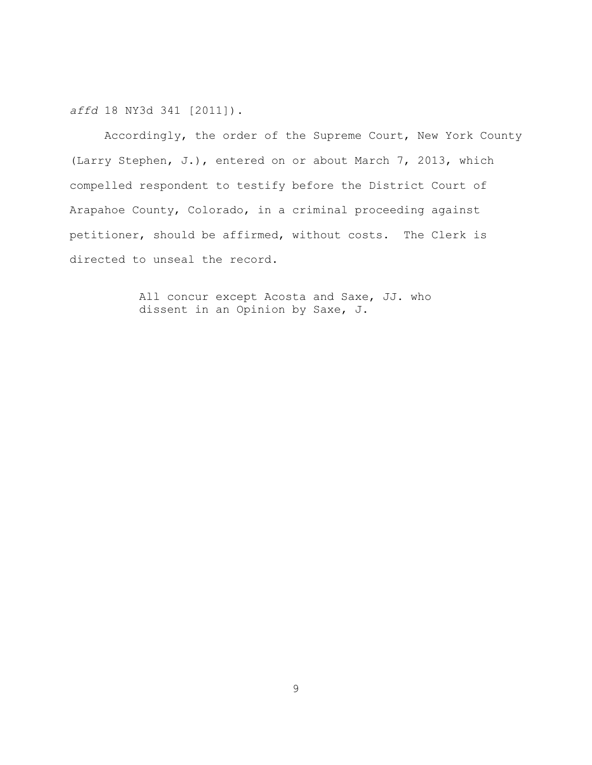*affd* 18 NY3d 341 [2011]).

Accordingly, the order of the Supreme Court, New York County (Larry Stephen, J.), entered on or about March 7, 2013, which compelled respondent to testify before the District Court of Arapahoe County, Colorado, in a criminal proceeding against petitioner, should be affirmed, without costs. The Clerk is directed to unseal the record.

> All concur except Acosta and Saxe, JJ. who dissent in an Opinion by Saxe, J.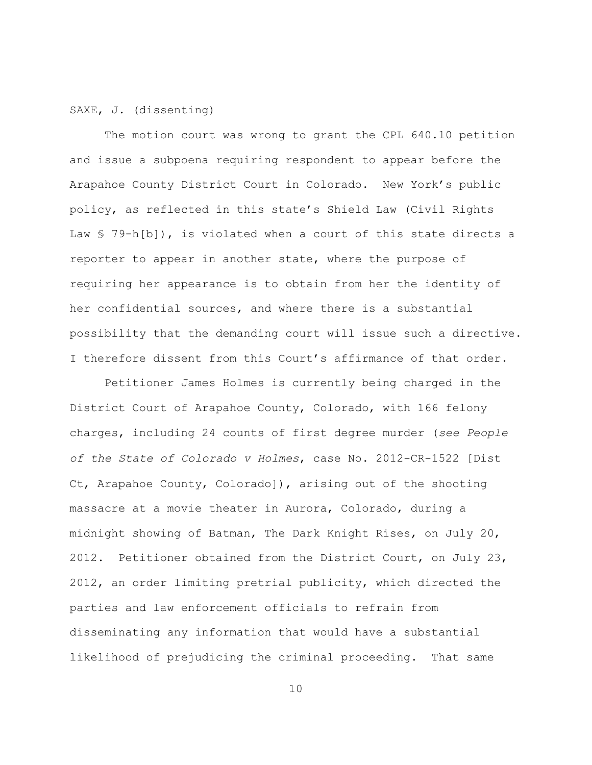## SAXE, J. (dissenting)

The motion court was wrong to grant the CPL 640.10 petition and issue a subpoena requiring respondent to appear before the Arapahoe County District Court in Colorado. New York's public policy, as reflected in this state's Shield Law (Civil Rights Law § 79-h[b]), is violated when a court of this state directs a reporter to appear in another state, where the purpose of requiring her appearance is to obtain from her the identity of her confidential sources, and where there is a substantial possibility that the demanding court will issue such a directive. I therefore dissent from this Court's affirmance of that order.

Petitioner James Holmes is currently being charged in the District Court of Arapahoe County, Colorado, with 166 felony charges, including 24 counts of first degree murder (*see People of the State of Colorado v Holmes*, case No. 2012-CR-1522 [Dist Ct, Arapahoe County, Colorado]), arising out of the shooting massacre at a movie theater in Aurora, Colorado, during a midnight showing of Batman, The Dark Knight Rises, on July 20, 2012. Petitioner obtained from the District Court, on July 23, 2012, an order limiting pretrial publicity, which directed the parties and law enforcement officials to refrain from disseminating any information that would have a substantial likelihood of prejudicing the criminal proceeding. That same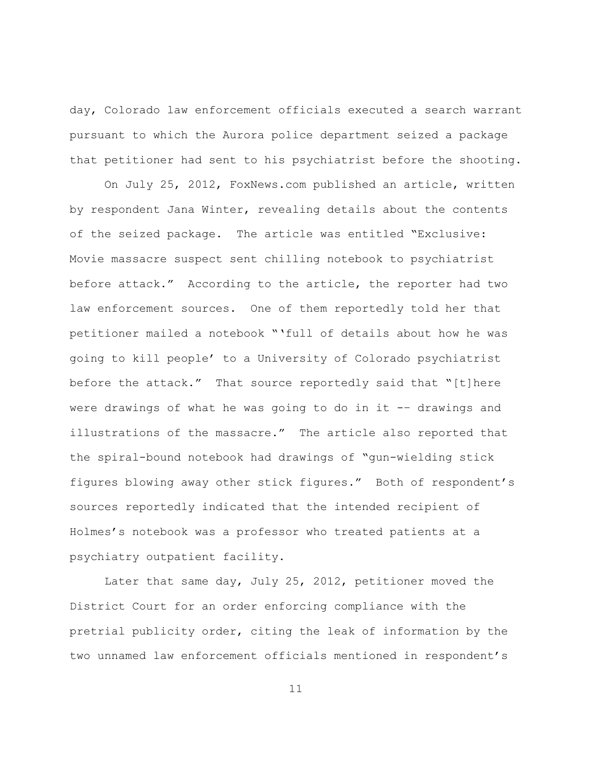day, Colorado law enforcement officials executed a search warrant pursuant to which the Aurora police department seized a package that petitioner had sent to his psychiatrist before the shooting.

On July 25, 2012, FoxNews.com published an article, written by respondent Jana Winter, revealing details about the contents of the seized package. The article was entitled "Exclusive: Movie massacre suspect sent chilling notebook to psychiatrist before attack." According to the article, the reporter had two law enforcement sources. One of them reportedly told her that petitioner mailed a notebook "'full of details about how he was going to kill people' to a University of Colorado psychiatrist before the attack." That source reportedly said that "[t]here were drawings of what he was going to do in it -– drawings and illustrations of the massacre." The article also reported that the spiral-bound notebook had drawings of "gun-wielding stick figures blowing away other stick figures." Both of respondent's sources reportedly indicated that the intended recipient of Holmes's notebook was a professor who treated patients at a psychiatry outpatient facility.

Later that same day, July 25, 2012, petitioner moved the District Court for an order enforcing compliance with the pretrial publicity order, citing the leak of information by the two unnamed law enforcement officials mentioned in respondent's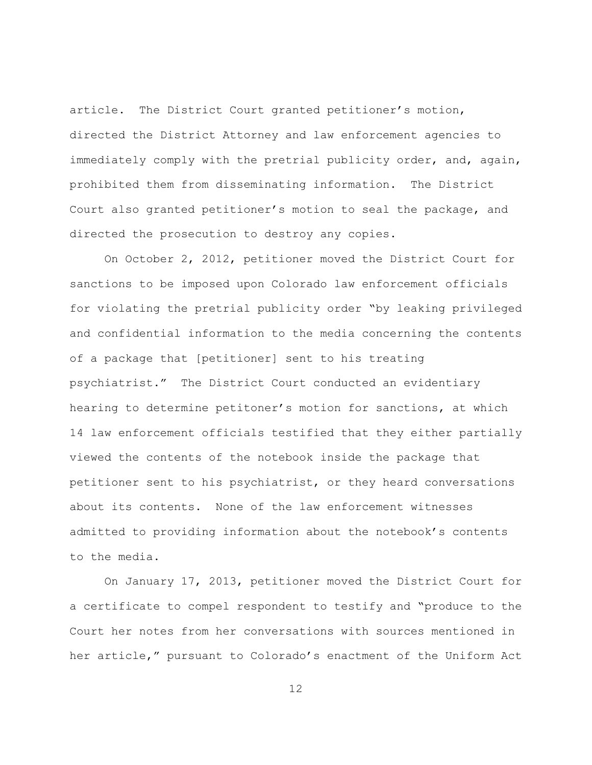article. The District Court granted petitioner's motion, directed the District Attorney and law enforcement agencies to immediately comply with the pretrial publicity order, and, again, prohibited them from disseminating information. The District Court also granted petitioner's motion to seal the package, and directed the prosecution to destroy any copies.

On October 2, 2012, petitioner moved the District Court for sanctions to be imposed upon Colorado law enforcement officials for violating the pretrial publicity order "by leaking privileged and confidential information to the media concerning the contents of a package that [petitioner] sent to his treating psychiatrist." The District Court conducted an evidentiary hearing to determine petitoner's motion for sanctions, at which 14 law enforcement officials testified that they either partially viewed the contents of the notebook inside the package that petitioner sent to his psychiatrist, or they heard conversations about its contents. None of the law enforcement witnesses admitted to providing information about the notebook's contents to the media.

On January 17, 2013, petitioner moved the District Court for a certificate to compel respondent to testify and "produce to the Court her notes from her conversations with sources mentioned in her article," pursuant to Colorado's enactment of the Uniform Act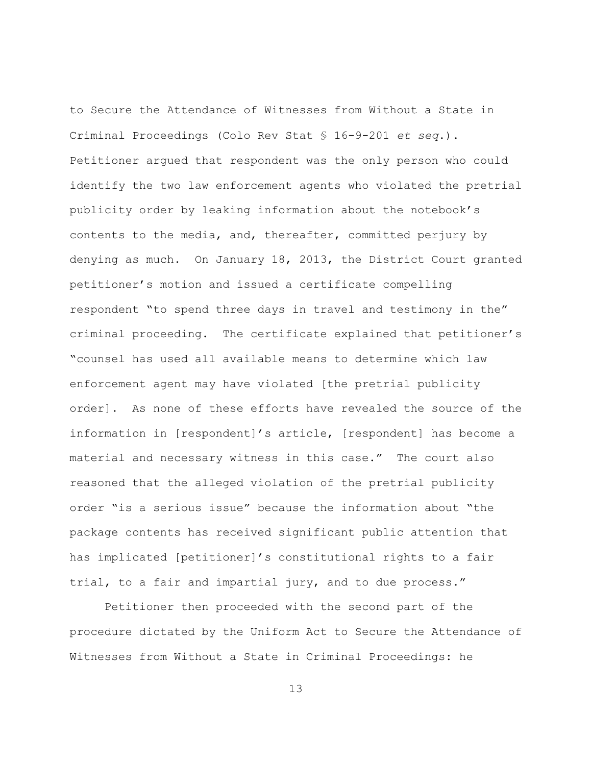to Secure the Attendance of Witnesses from Without a State in Criminal Proceedings (Colo Rev Stat § 16-9-201 *et seq*.). Petitioner argued that respondent was the only person who could identify the two law enforcement agents who violated the pretrial publicity order by leaking information about the notebook's contents to the media, and, thereafter, committed perjury by denying as much. On January 18, 2013, the District Court granted petitioner's motion and issued a certificate compelling respondent "to spend three days in travel and testimony in the" criminal proceeding. The certificate explained that petitioner's "counsel has used all available means to determine which law enforcement agent may have violated [the pretrial publicity order]. As none of these efforts have revealed the source of the information in [respondent]'s article, [respondent] has become a material and necessary witness in this case." The court also reasoned that the alleged violation of the pretrial publicity order "is a serious issue" because the information about "the package contents has received significant public attention that has implicated [petitioner]'s constitutional rights to a fair trial, to a fair and impartial jury, and to due process."

Petitioner then proceeded with the second part of the procedure dictated by the Uniform Act to Secure the Attendance of Witnesses from Without a State in Criminal Proceedings: he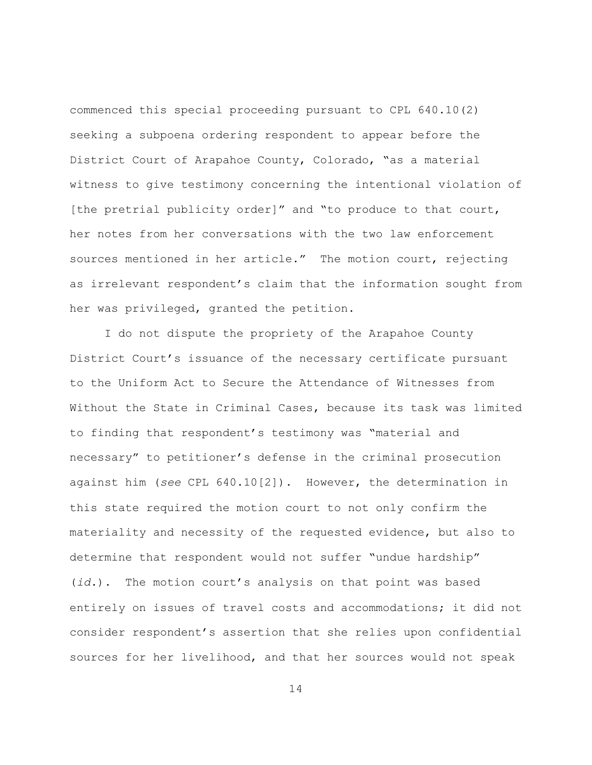commenced this special proceeding pursuant to CPL 640.10(2) seeking a subpoena ordering respondent to appear before the District Court of Arapahoe County, Colorado, "as a material witness to give testimony concerning the intentional violation of [the pretrial publicity order]" and "to produce to that court, her notes from her conversations with the two law enforcement sources mentioned in her article." The motion court, rejecting as irrelevant respondent's claim that the information sought from her was privileged, granted the petition.

I do not dispute the propriety of the Arapahoe County District Court's issuance of the necessary certificate pursuant to the Uniform Act to Secure the Attendance of Witnesses from Without the State in Criminal Cases, because its task was limited to finding that respondent's testimony was "material and necessary" to petitioner's defense in the criminal prosecution against him (*see* CPL 640.10[2]). However, the determination in this state required the motion court to not only confirm the materiality and necessity of the requested evidence, but also to determine that respondent would not suffer "undue hardship" (*id.*). The motion court's analysis on that point was based entirely on issues of travel costs and accommodations; it did not consider respondent's assertion that she relies upon confidential sources for her livelihood, and that her sources would not speak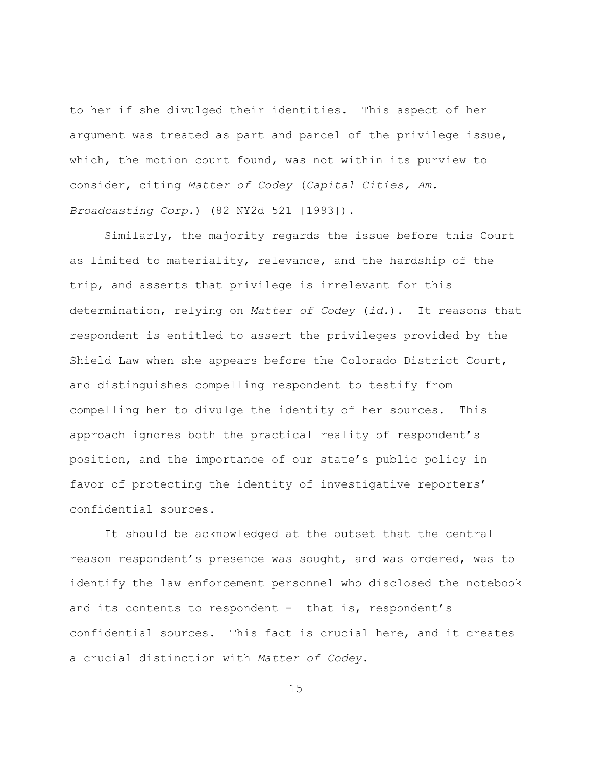to her if she divulged their identities. This aspect of her argument was treated as part and parcel of the privilege issue, which, the motion court found, was not within its purview to consider, citing *Matter of Codey* (*Capital Cities, Am. Broadcasting Corp.*) (82 NY2d 521 [1993]).

Similarly, the majority regards the issue before this Court as limited to materiality, relevance, and the hardship of the trip, and asserts that privilege is irrelevant for this determination, relying on *Matter of Codey* (*id.*). It reasons that respondent is entitled to assert the privileges provided by the Shield Law when she appears before the Colorado District Court, and distinguishes compelling respondent to testify from compelling her to divulge the identity of her sources. This approach ignores both the practical reality of respondent's position, and the importance of our state's public policy in favor of protecting the identity of investigative reporters' confidential sources.

It should be acknowledged at the outset that the central reason respondent's presence was sought, and was ordered, was to identify the law enforcement personnel who disclosed the notebook and its contents to respondent -– that is, respondent's confidential sources. This fact is crucial here, and it creates a crucial distinction with *Matter of Codey.*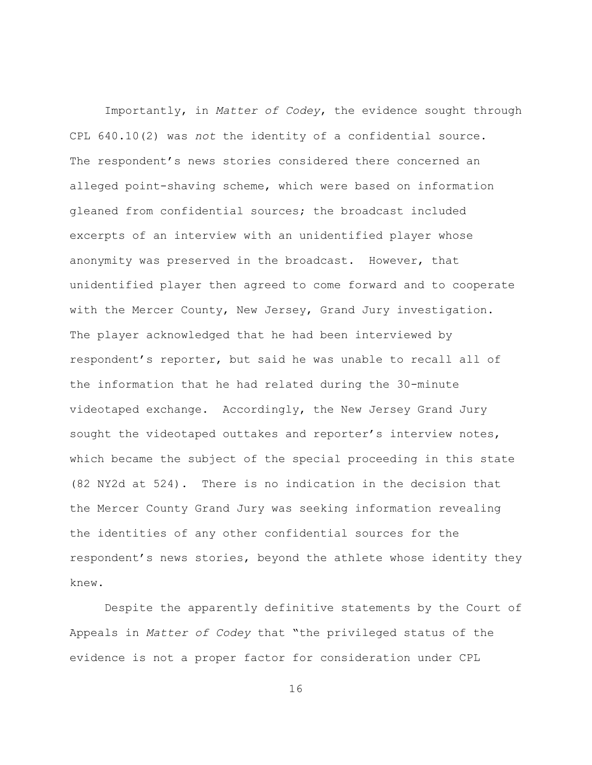Importantly, in *Matter of Codey*, the evidence sought through CPL 640.10(2) was *not* the identity of a confidential source. The respondent's news stories considered there concerned an alleged point-shaving scheme, which were based on information gleaned from confidential sources; the broadcast included excerpts of an interview with an unidentified player whose anonymity was preserved in the broadcast. However, that unidentified player then agreed to come forward and to cooperate with the Mercer County, New Jersey, Grand Jury investigation. The player acknowledged that he had been interviewed by respondent's reporter, but said he was unable to recall all of the information that he had related during the 30-minute videotaped exchange. Accordingly, the New Jersey Grand Jury sought the videotaped outtakes and reporter's interview notes, which became the subject of the special proceeding in this state (82 NY2d at 524). There is no indication in the decision that the Mercer County Grand Jury was seeking information revealing the identities of any other confidential sources for the respondent's news stories, beyond the athlete whose identity they knew.

Despite the apparently definitive statements by the Court of Appeals in *Matter of Codey* that "the privileged status of the evidence is not a proper factor for consideration under CPL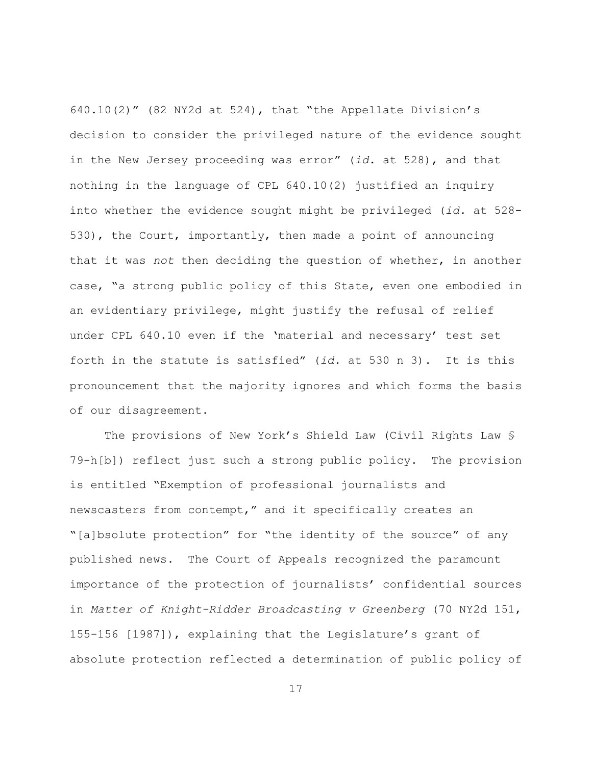640.10(2)" (82 NY2d at 524), that "the Appellate Division's decision to consider the privileged nature of the evidence sought in the New Jersey proceeding was error" (*id.* at 528), and that nothing in the language of CPL 640.10(2) justified an inquiry into whether the evidence sought might be privileged (*id.* at 528- 530), the Court, importantly, then made a point of announcing that it was *not* then deciding the question of whether, in another case, "a strong public policy of this State, even one embodied in an evidentiary privilege, might justify the refusal of relief under CPL 640.10 even if the 'material and necessary' test set forth in the statute is satisfied" (*id.* at 530 n 3). It is this pronouncement that the majority ignores and which forms the basis of our disagreement.

The provisions of New York's Shield Law (Civil Rights Law § 79-h[b]) reflect just such a strong public policy. The provision is entitled "Exemption of professional journalists and newscasters from contempt," and it specifically creates an "[a]bsolute protection" for "the identity of the source" of any published news. The Court of Appeals recognized the paramount importance of the protection of journalists' confidential sources in *Matter of Knight-Ridder Broadcasting v Greenberg* (70 NY2d 151, 155-156 [1987]), explaining that the Legislature's grant of absolute protection reflected a determination of public policy of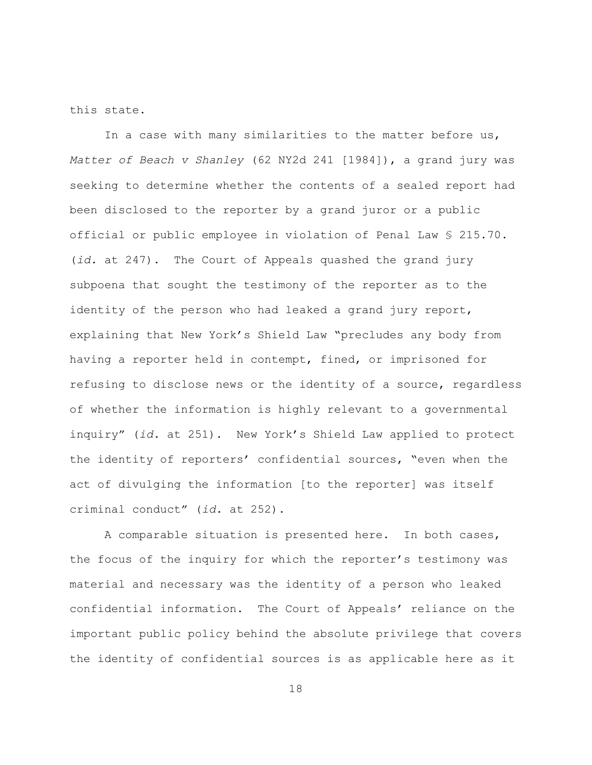this state.

In a case with many similarities to the matter before us, *Matter of Beach v Shanley* (62 NY2d 241 [1984]), a grand jury was seeking to determine whether the contents of a sealed report had been disclosed to the reporter by a grand juror or a public official or public employee in violation of Penal Law § 215.70. (*id.* at 247). The Court of Appeals quashed the grand jury subpoena that sought the testimony of the reporter as to the identity of the person who had leaked a grand jury report, explaining that New York's Shield Law "precludes any body from having a reporter held in contempt, fined, or imprisoned for refusing to disclose news or the identity of a source, regardless of whether the information is highly relevant to a governmental inquiry" (*id.* at 251). New York's Shield Law applied to protect the identity of reporters' confidential sources, "even when the act of divulging the information [to the reporter] was itself criminal conduct" (*id.* at 252).

A comparable situation is presented here. In both cases, the focus of the inquiry for which the reporter's testimony was material and necessary was the identity of a person who leaked confidential information. The Court of Appeals' reliance on the important public policy behind the absolute privilege that covers the identity of confidential sources is as applicable here as it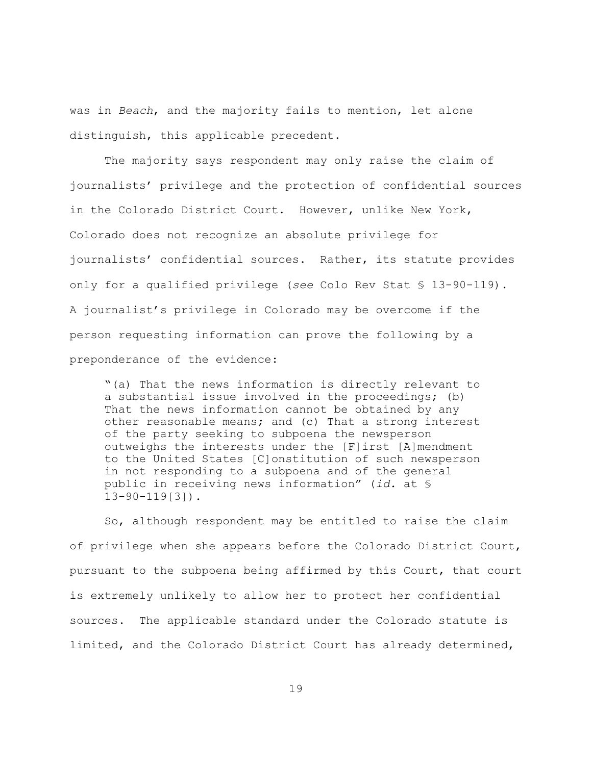was in *Beach*, and the majority fails to mention, let alone distinguish, this applicable precedent.

The majority says respondent may only raise the claim of journalists' privilege and the protection of confidential sources in the Colorado District Court. However, unlike New York, Colorado does not recognize an absolute privilege for journalists' confidential sources. Rather, its statute provides only for a qualified privilege (*see* Colo Rev Stat § 13-90-119). A journalist's privilege in Colorado may be overcome if the person requesting information can prove the following by a preponderance of the evidence:

"(a) That the news information is directly relevant to a substantial issue involved in the proceedings; (b) That the news information cannot be obtained by any other reasonable means; and (c) That a strong interest of the party seeking to subpoena the newsperson outweighs the interests under the [F]irst [A]mendment to the United States [C]onstitution of such newsperson in not responding to a subpoena and of the general public in receiving news information" (*id.* at § 13-90-119[3]).

So, although respondent may be entitled to raise the claim of privilege when she appears before the Colorado District Court, pursuant to the subpoena being affirmed by this Court, that court is extremely unlikely to allow her to protect her confidential sources. The applicable standard under the Colorado statute is limited, and the Colorado District Court has already determined,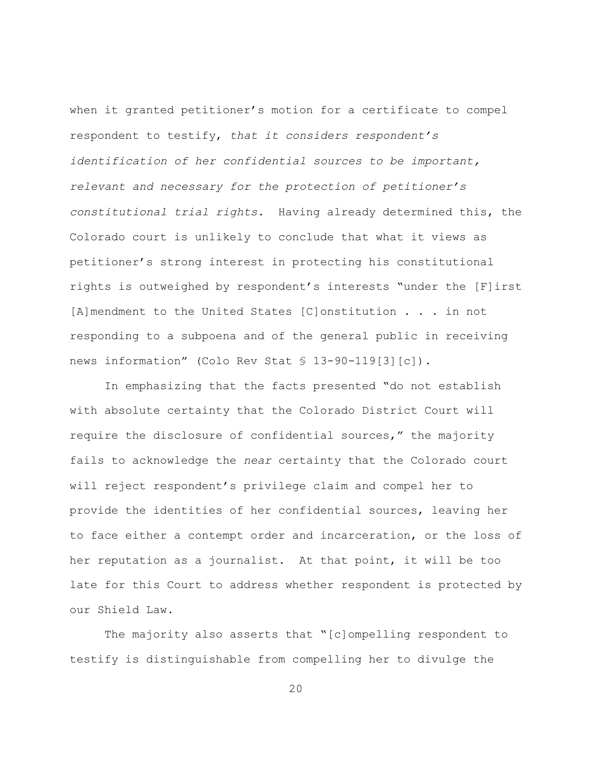when it granted petitioner's motion for a certificate to compel respondent to testify, *that it considers respondent's identification of her confidential sources to be important, relevant and necessary for the protection of petitioner's constitutional trial rights*. Having already determined this, the Colorado court is unlikely to conclude that what it views as petitioner's strong interest in protecting his constitutional rights is outweighed by respondent's interests "under the [F]irst [A]mendment to the United States [C]onstitution . . . in not responding to a subpoena and of the general public in receiving news information" (Colo Rev Stat § 13-90-119[3][c]).

In emphasizing that the facts presented "do not establish with absolute certainty that the Colorado District Court will require the disclosure of confidential sources," the majority fails to acknowledge the *near* certainty that the Colorado court will reject respondent's privilege claim and compel her to provide the identities of her confidential sources, leaving her to face either a contempt order and incarceration, or the loss of her reputation as a journalist. At that point, it will be too late for this Court to address whether respondent is protected by our Shield Law.

The majority also asserts that "[c]ompelling respondent to testify is distinguishable from compelling her to divulge the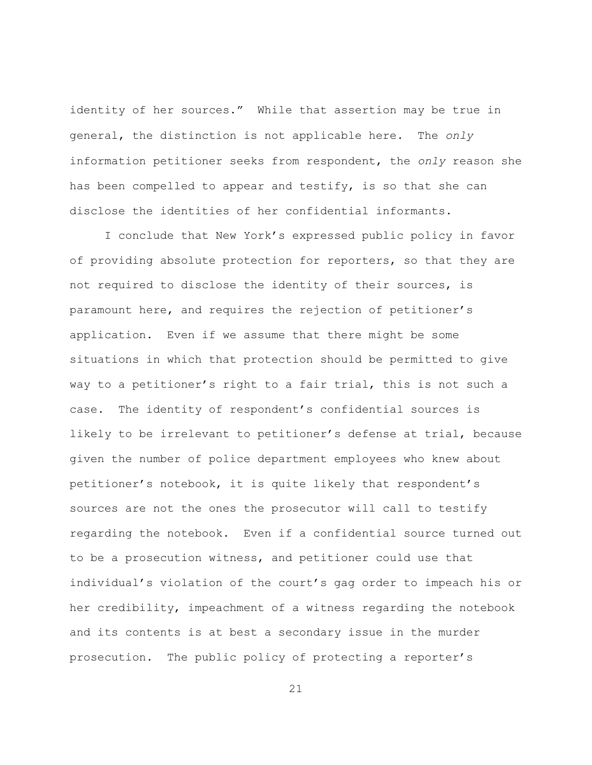identity of her sources." While that assertion may be true in general, the distinction is not applicable here. The *only* information petitioner seeks from respondent, the *only* reason she has been compelled to appear and testify, is so that she can disclose the identities of her confidential informants.

I conclude that New York's expressed public policy in favor of providing absolute protection for reporters, so that they are not required to disclose the identity of their sources, is paramount here, and requires the rejection of petitioner's application. Even if we assume that there might be some situations in which that protection should be permitted to give way to a petitioner's right to a fair trial, this is not such a case. The identity of respondent's confidential sources is likely to be irrelevant to petitioner's defense at trial, because given the number of police department employees who knew about petitioner's notebook, it is quite likely that respondent's sources are not the ones the prosecutor will call to testify regarding the notebook. Even if a confidential source turned out to be a prosecution witness, and petitioner could use that individual's violation of the court's gag order to impeach his or her credibility, impeachment of a witness regarding the notebook and its contents is at best a secondary issue in the murder prosecution. The public policy of protecting a reporter's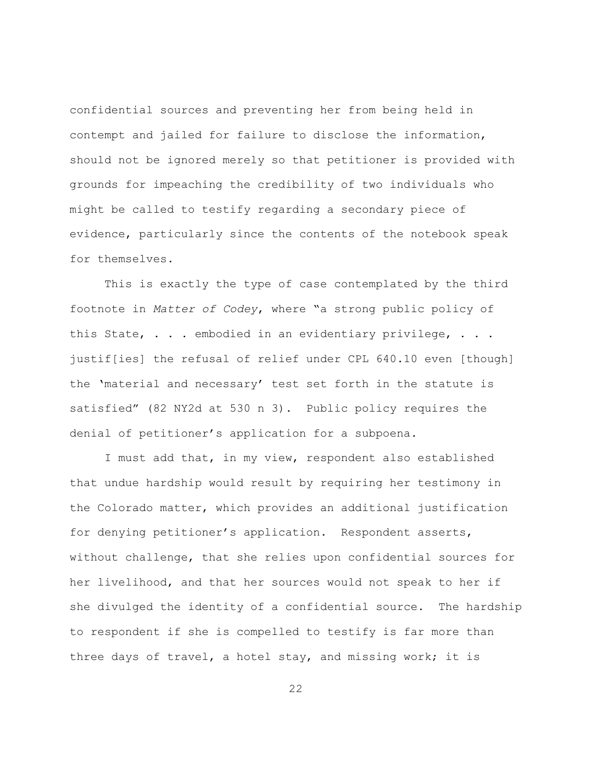confidential sources and preventing her from being held in contempt and jailed for failure to disclose the information, should not be ignored merely so that petitioner is provided with grounds for impeaching the credibility of two individuals who might be called to testify regarding a secondary piece of evidence, particularly since the contents of the notebook speak for themselves.

This is exactly the type of case contemplated by the third footnote in *Matter of Codey*, where "a strong public policy of this State, . . . embodied in an evidentiary privilege, . . . justif[ies] the refusal of relief under CPL 640.10 even [though] the 'material and necessary' test set forth in the statute is satisfied" (82 NY2d at 530 n 3). Public policy requires the denial of petitioner's application for a subpoena.

I must add that, in my view, respondent also established that undue hardship would result by requiring her testimony in the Colorado matter, which provides an additional justification for denying petitioner's application. Respondent asserts, without challenge, that she relies upon confidential sources for her livelihood, and that her sources would not speak to her if she divulged the identity of a confidential source. The hardship to respondent if she is compelled to testify is far more than three days of travel, a hotel stay, and missing work; it is